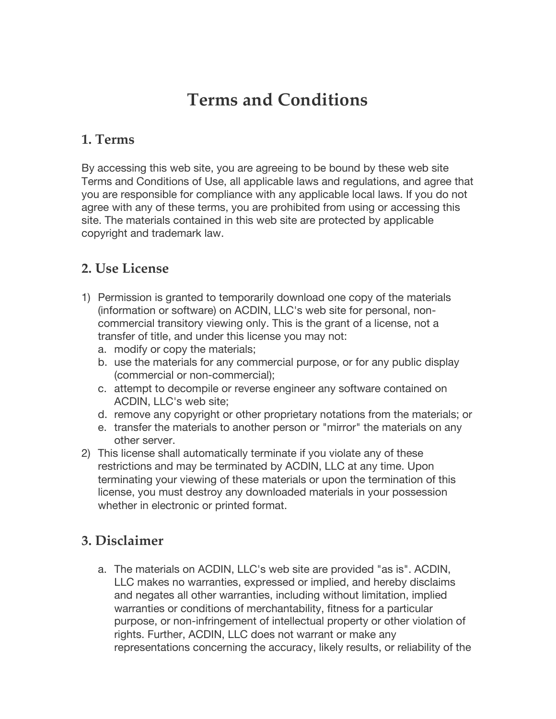## **Terms and Conditions**

#### **1. Terms**

By accessing this web site, you are agreeing to be bound by these web site Terms and Conditions of Use, all applicable laws and regulations, and agree that you are responsible for compliance with any applicable local laws. If you do not agree with any of these terms, you are prohibited from using or accessing this site. The materials contained in this web site are protected by applicable copyright and trademark law.

#### **2. Use License**

- 1) Permission is granted to temporarily download one copy of the materials (information or software) on ACDIN, LLC's web site for personal, noncommercial transitory viewing only. This is the grant of a license, not a transfer of title, and under this license you may not:
	- a. modify or copy the materials;
	- b. use the materials for any commercial purpose, or for any public display (commercial or non-commercial);
	- c. attempt to decompile or reverse engineer any software contained on ACDIN, LLC's web site;
	- d. remove any copyright or other proprietary notations from the materials; or
	- e. transfer the materials to another person or "mirror" the materials on any other server.
- 2) This license shall automatically terminate if you violate any of these restrictions and may be terminated by ACDIN, LLC at any time. Upon terminating your viewing of these materials or upon the termination of this license, you must destroy any downloaded materials in your possession whether in electronic or printed format.

#### **3. Disclaimer**

a. The materials on ACDIN, LLC's web site are provided "as is". ACDIN, LLC makes no warranties, expressed or implied, and hereby disclaims and negates all other warranties, including without limitation, implied warranties or conditions of merchantability, fitness for a particular purpose, or non-infringement of intellectual property or other violation of rights. Further, ACDIN, LLC does not warrant or make any representations concerning the accuracy, likely results, or reliability of the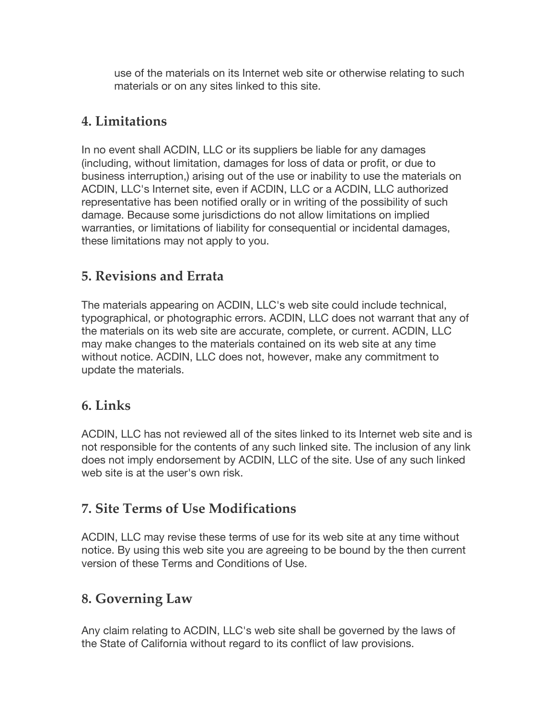use of the materials on its Internet web site or otherwise relating to such materials or on any sites linked to this site.

#### **4. Limitations**

In no event shall ACDIN, LLC or its suppliers be liable for any damages (including, without limitation, damages for loss of data or profit, or due to business interruption,) arising out of the use or inability to use the materials on ACDIN, LLC's Internet site, even if ACDIN, LLC or a ACDIN, LLC authorized representative has been notified orally or in writing of the possibility of such damage. Because some jurisdictions do not allow limitations on implied warranties, or limitations of liability for consequential or incidental damages, these limitations may not apply to you.

#### **5. Revisions and Errata**

The materials appearing on ACDIN, LLC's web site could include technical, typographical, or photographic errors. ACDIN, LLC does not warrant that any of the materials on its web site are accurate, complete, or current. ACDIN, LLC may make changes to the materials contained on its web site at any time without notice. ACDIN, LLC does not, however, make any commitment to update the materials.

#### **6. Links**

ACDIN, LLC has not reviewed all of the sites linked to its Internet web site and is not responsible for the contents of any such linked site. The inclusion of any link does not imply endorsement by ACDIN, LLC of the site. Use of any such linked web site is at the user's own risk.

### **7. Site Terms of Use Modifications**

ACDIN, LLC may revise these terms of use for its web site at any time without notice. By using this web site you are agreeing to be bound by the then current version of these Terms and Conditions of Use.

### **8. Governing Law**

Any claim relating to ACDIN, LLC's web site shall be governed by the laws of the State of California without regard to its conflict of law provisions.